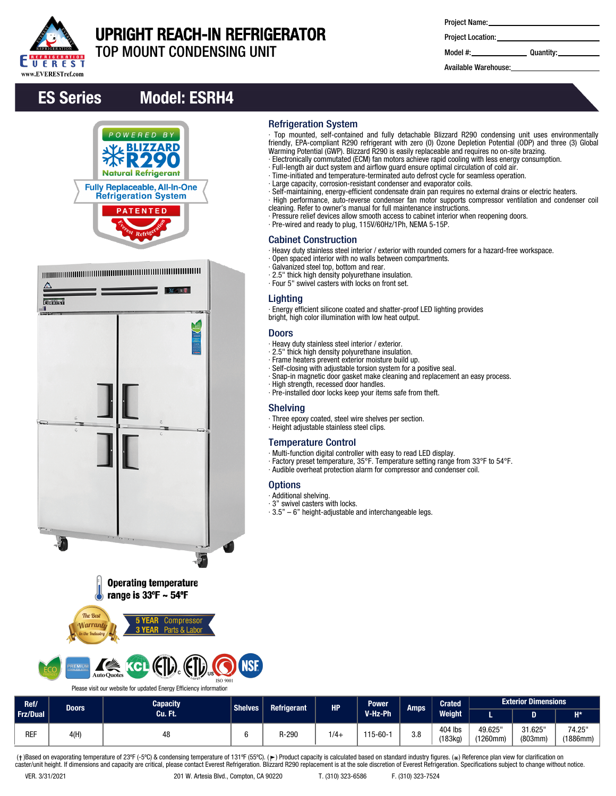

# UPRIGHT REACH-IN REFRIGERATOR

Refrigeration System

Cabinet Construction

**Lighting** 

Doors

Shelving

**Options** ∙ Additional shelving. ∙ 3" swivel casters with locks.

∙ Galvanized steel top, bottom and rear. ∙ 2.5" thick high density polyurethane insulation. ∙ Four 5" swivel casters with locks on front set.

TOP MOUNT CONDENSING UNIT

| <b>Project Name:</b> |  |
|----------------------|--|
|----------------------|--|

∙ Top mounted, self-contained and fully detachable Blizzard R290 condensing unit uses environmentally friendly, EPA-compliant R290 refrigerant with zero (0) Ozone Depletion Potential (ODP) and three (3) Global

∙ Self-maintaining, energy-efficient condensate drain pan requires no external drains or electric heaters. ∙ High performance, auto-reverse condenser fan motor supports compressor ventilation and condenser coil

Warming Potential (GWP). Blizzard R290 is easily replaceable and requires no on-site brazing. ∙ Electronically commutated (ECM) fan motors achieve rapid cooling with less energy consumption.

∙ Full-length air duct system and airflow guard ensure optimal circulation of cold air. ∙ Time-initiated and temperature-terminated auto defrost cycle for seamless operation.

∙ Pressure relief devices allow smooth access to cabinet interior when reopening doors.

∙ Heavy duty stainless steel interior / exterior with rounded corners for a hazard-free workspace.

∙ Large capacity, corrosion-resistant condenser and evaporator coils.

cleaning. Refer to owner's manual for full maintenance instructions.

∙ Energy efficient silicone coated and shatter-proof LED lighting provides

∙ Snap-in magnetic door gasket make cleaning and replacement an easy process.

∙ Factory preset temperature, 35°F. Temperature setting range from 33°F to 54°F. ∙ Audible overheat protection alarm for compressor and condenser coil.

∙ Pre-wired and ready to plug, 115V/60Hz/1Ph, NEMA 5-15P.

∙ Open spaced interior with no walls between compartments.

bright, high color illumination with low heat output.

∙ Pre-installed door locks keep your items safe from theft.

∙ Multi-function digital controller with easy to read LED display.

∙ Three epoxy coated, steel wire shelves per section.

∙ 3.5" – 6" height-adjustable and interchangeable legs.

∙ Heavy duty stainless steel interior / exterior. ∙ 2.5" thick high density polyurethane insulation. ∙ Frame heaters prevent exterior moisture build up. ∙ Self-closing with adjustable torsion system for a positive seal.

∙ High strength, recessed door handles.

∙ Height adjustable stainless steel clips.

Temperature Control

Project Location:

Model #: Quantity:

Available Warehouse:

## ES Series Model: ESRH4







Please visit our website for updated Energy Efficiency information

#### **Capacity** Cu. Ft. Shelves Refrigerant HP Power V-Hz-Ph Amps Crated Weight L D H\* Exterior Dimensions Ref/ Doors Frz/Dual 49.625" (1260mm) 31.625" (803mm) 74.25" (1886mm) 404 lbs<br>(183kg) (183kg) REF 4(H) <sup>48</sup> <sup>6</sup> R-290 1/4+ 115-60-1 3.8

(†)Based on evaporating temperature of 23ºF (-5ºC) & condensing temperature of 131ºF (55ºC). (ך) Product capacity is calculated based on standard industry figures. (\*) Reference plan view for clarification on<br>caster/unit h